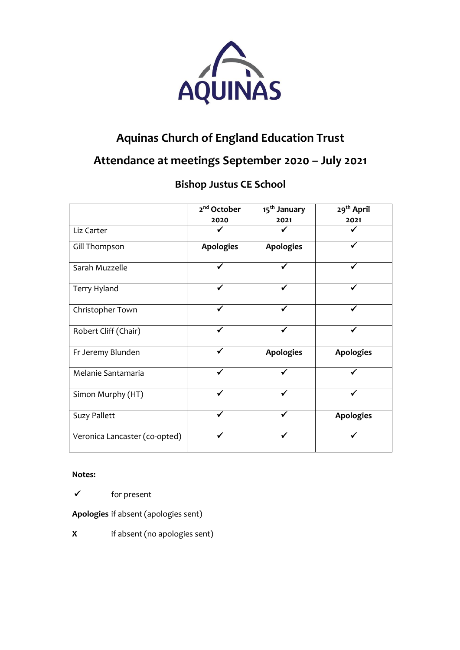

# **Aquinas Church of England Education Trust**

# **Attendance at meetings September 2020 – July 2021**

## **Bishop Justus CE School**

|                               | 2 <sup>nd</sup> October<br>2020 | 15 <sup>th</sup> January<br>2021 | 29 <sup>th</sup> April<br>2021 |
|-------------------------------|---------------------------------|----------------------------------|--------------------------------|
| Liz Carter                    |                                 |                                  |                                |
| Gill Thompson                 | <b>Apologies</b>                | <b>Apologies</b>                 |                                |
| Sarah Muzzelle                |                                 |                                  |                                |
| Terry Hyland                  |                                 |                                  |                                |
| Christopher Town              |                                 |                                  |                                |
| Robert Cliff (Chair)          |                                 |                                  |                                |
| Fr Jeremy Blunden             |                                 | <b>Apologies</b>                 | <b>Apologies</b>               |
| Melanie Santamaria            |                                 |                                  |                                |
| Simon Murphy (HT)             |                                 |                                  |                                |
| <b>Suzy Pallett</b>           |                                 |                                  | <b>Apologies</b>               |
| Veronica Lancaster (co-opted) |                                 |                                  |                                |

#### **Notes:**

✓ for present

**Apologies** if absent (apologies sent)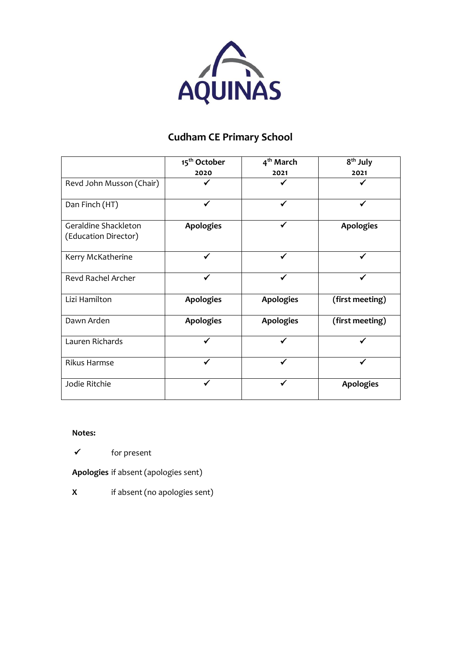

## **Cudham CE Primary School**

|                                              | 15 <sup>th</sup> October | 4 <sup>th</sup> March | 8 <sup>th</sup> July |
|----------------------------------------------|--------------------------|-----------------------|----------------------|
|                                              | 2020                     | 2021                  | 2021                 |
| Revd John Musson (Chair)                     |                          |                       |                      |
| Dan Finch (HT)                               | ✔                        | ✓                     |                      |
| Geraldine Shackleton<br>(Education Director) | <b>Apologies</b>         |                       | <b>Apologies</b>     |
| Kerry McKatherine                            |                          |                       |                      |
| <b>Revd Rachel Archer</b>                    | ✓                        |                       |                      |
| Lizi Hamilton                                | <b>Apologies</b>         | <b>Apologies</b>      | (first meeting)      |
| Dawn Arden                                   | <b>Apologies</b>         | <b>Apologies</b>      | (first meeting)      |
| Lauren Richards                              |                          |                       |                      |
| <b>Rikus Harmse</b>                          | ✔                        |                       |                      |
| Jodie Ritchie                                |                          |                       | <b>Apologies</b>     |

#### **Notes:**

✓ for present

**Apologies** if absent (apologies sent)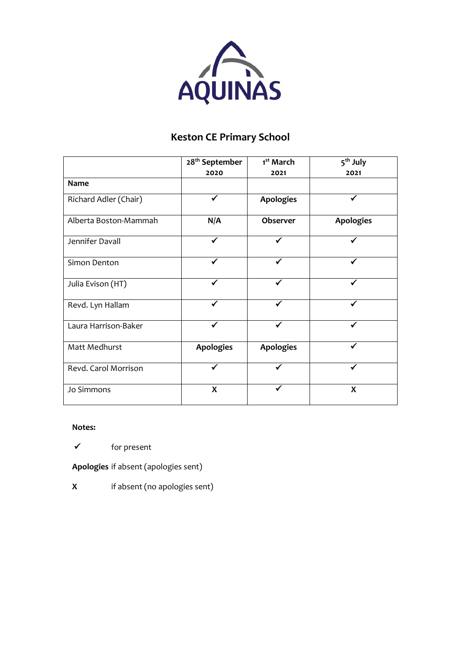

## **Keston CE Primary School**

|                       | 28 <sup>th</sup> September | 1 <sup>st</sup> March | 5 <sup>th</sup> July |  |
|-----------------------|----------------------------|-----------------------|----------------------|--|
|                       | 2020                       | 2021                  | 2021                 |  |
| <b>Name</b>           |                            |                       |                      |  |
| Richard Adler (Chair) | ✓                          | <b>Apologies</b>      | ✓                    |  |
| Alberta Boston-Mammah | N/A                        | Observer              | <b>Apologies</b>     |  |
| Jennifer Davall       |                            |                       |                      |  |
| Simon Denton          |                            |                       |                      |  |
| Julia Evison (HT)     |                            |                       |                      |  |
| Revd. Lyn Hallam      | ✓                          | ✓                     |                      |  |
| Laura Harrison-Baker  | ✔                          |                       |                      |  |
| Matt Medhurst         | <b>Apologies</b>           | <b>Apologies</b>      |                      |  |
| Revd. Carol Morrison  |                            |                       |                      |  |
| Jo Simmons            | X                          |                       | X                    |  |

#### **Notes:**

✓ for present

**Apologies** if absent (apologies sent)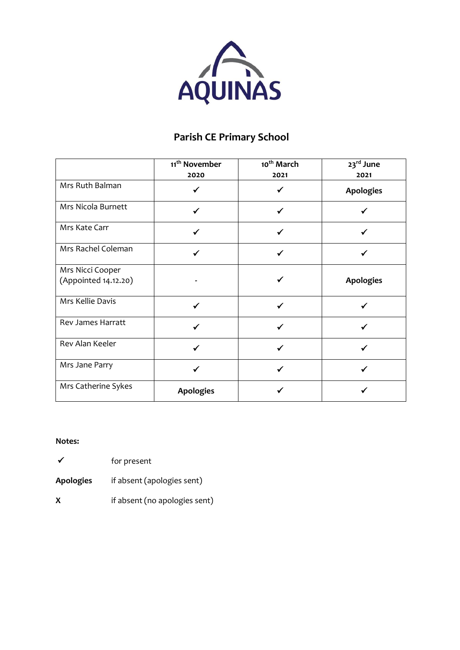

## **Parish CE Primary School**

|                                          | 11 <sup>th</sup> November<br>2020 | 10 <sup>th</sup> March<br>2021 | 23 <sup>rd</sup> June<br>2021 |
|------------------------------------------|-----------------------------------|--------------------------------|-------------------------------|
| Mrs Ruth Balman                          |                                   |                                | <b>Apologies</b>              |
| Mrs Nicola Burnett                       |                                   |                                |                               |
| Mrs Kate Carr                            |                                   |                                |                               |
| Mrs Rachel Coleman                       |                                   |                                |                               |
| Mrs Nicci Cooper<br>(Appointed 14.12.20) |                                   |                                | <b>Apologies</b>              |
| Mrs Kellie Davis                         |                                   |                                |                               |
| Rev James Harratt                        |                                   |                                |                               |
| Rev Alan Keeler                          |                                   |                                |                               |
| Mrs Jane Parry                           |                                   |                                |                               |
| Mrs Catherine Sykes                      | <b>Apologies</b>                  |                                |                               |

- ✓ for present
- **Apologies** if absent (apologies sent)
- **X** if absent (no apologies sent)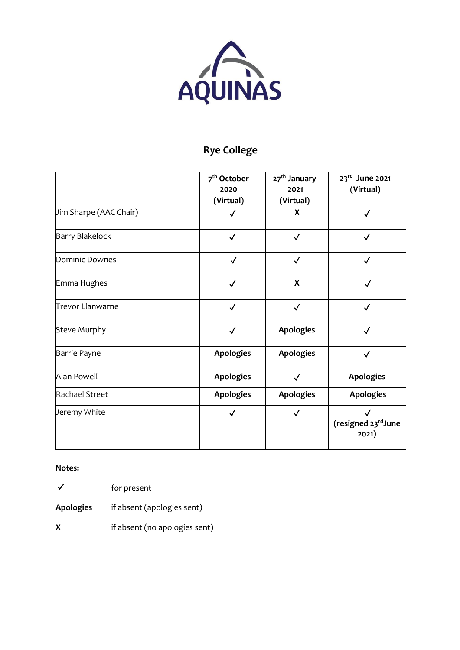

# **Rye College**

|                         | 7 <sup>th</sup> October<br>2020<br>(Virtual) | 27 <sup>th</sup> January<br>2021<br>(Virtual) | 23rd June 2021<br>(Virtual)  |
|-------------------------|----------------------------------------------|-----------------------------------------------|------------------------------|
| Jim Sharpe (AAC Chair)  | $\checkmark$                                 | X                                             | $\checkmark$                 |
| <b>Barry Blakelock</b>  | $\checkmark$                                 | $\checkmark$                                  | ✓                            |
| Dominic Downes          | $\checkmark$                                 | $\checkmark$                                  | $\checkmark$                 |
| Emma Hughes             | $\checkmark$                                 | $\boldsymbol{\mathsf{X}}$                     | $\checkmark$                 |
| <b>Trevor Llanwarne</b> | $\checkmark$                                 | $\checkmark$                                  | $\checkmark$                 |
| <b>Steve Murphy</b>     | $\checkmark$                                 | <b>Apologies</b>                              | $\checkmark$                 |
| Barrie Payne            | <b>Apologies</b>                             | <b>Apologies</b>                              | √                            |
| Alan Powell             | <b>Apologies</b>                             | $\checkmark$                                  | <b>Apologies</b>             |
| <b>Rachael Street</b>   | <b>Apologies</b>                             | <b>Apologies</b>                              | <b>Apologies</b>             |
| Jeremy White            |                                              | $\checkmark$                                  | (resigned 23rd June<br>2021) |

#### **Notes:**

✓ for present

**Apologies** if absent (apologies sent)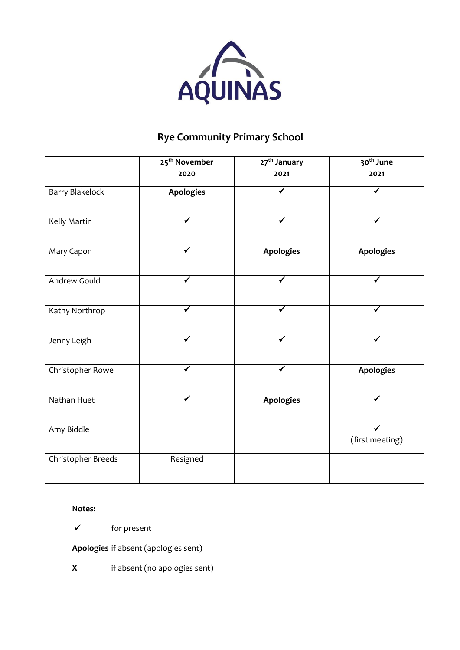

## **Rye Community Primary School**

|                        | 25 <sup>th</sup> November | 27 <sup>th</sup> January | 30 <sup>th</sup> June |
|------------------------|---------------------------|--------------------------|-----------------------|
|                        | 2020                      | 2021                     | 2021                  |
| <b>Barry Blakelock</b> | <b>Apologies</b>          |                          | ✓                     |
| Kelly Martin           |                           | ✔                        | ✔                     |
| Mary Capon             |                           | <b>Apologies</b>         | <b>Apologies</b>      |
| Andrew Gould           | ✔                         | ✓                        | $\checkmark$          |
| Kathy Northrop         |                           |                          |                       |
| Jenny Leigh            | ✓                         | √                        |                       |
| Christopher Rowe       |                           | √                        | Apologies             |
| Nathan Huet            | ✓                         | <b>Apologies</b>         | ✓                     |
| Amy Biddle             |                           |                          | (first meeting)       |
| Christopher Breeds     | Resigned                  |                          |                       |

#### **Notes:**

✓ for present

**Apologies** if absent (apologies sent)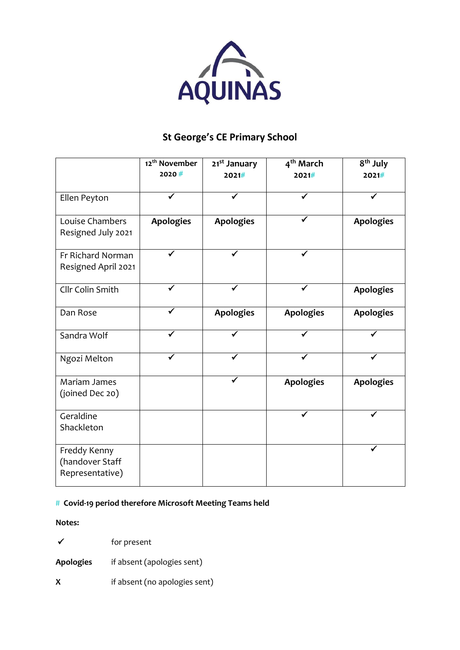

### **St George's CE Primary School**

|                                                    | 12 <sup>th</sup> November<br>2020# | 21 <sup>st</sup> January<br>2021# | 4 <sup>th</sup> March<br>2021# | 8 <sup>th</sup> July<br>2021# |
|----------------------------------------------------|------------------------------------|-----------------------------------|--------------------------------|-------------------------------|
| Ellen Peyton                                       |                                    |                                   |                                |                               |
| Louise Chambers<br>Resigned July 2021              | <b>Apologies</b>                   | <b>Apologies</b>                  |                                | <b>Apologies</b>              |
| Fr Richard Norman<br>Resigned April 2021           |                                    |                                   |                                |                               |
| Cllr Colin Smith                                   |                                    |                                   |                                | <b>Apologies</b>              |
| Dan Rose                                           |                                    | <b>Apologies</b>                  | <b>Apologies</b>               | <b>Apologies</b>              |
| Sandra Wolf                                        |                                    |                                   |                                |                               |
| Ngozi Melton                                       |                                    |                                   |                                |                               |
| Mariam James<br>(joined Dec 20)                    |                                    |                                   | <b>Apologies</b>               | <b>Apologies</b>              |
| Geraldine<br>Shackleton                            |                                    |                                   | ✔                              | ✓                             |
| Freddy Kenny<br>(handover Staff<br>Representative) |                                    |                                   |                                |                               |

#### # **Covid-19 period therefore Microsoft Meeting Teams held**

- ✓ for present **Apologies** if absent (apologies sent)
- **X** if absent (no apologies sent)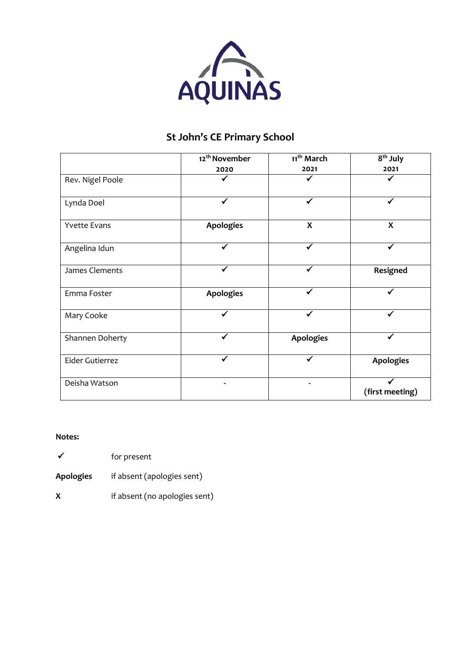

### **St John's CE Primary School**

|                                         | 12 <sup>th</sup> November | 11 <sup>th</sup> March    | 8 <sup>th</sup> July |  |
|-----------------------------------------|---------------------------|---------------------------|----------------------|--|
|                                         | 2020                      | 2021                      | 2021                 |  |
| Rev. Nigel Poole                        |                           |                           |                      |  |
| Lynda Doel                              |                           |                           |                      |  |
| <b>Apologies</b><br><b>Yvette Evans</b> |                           | $\boldsymbol{\mathsf{X}}$ | $\boldsymbol{X}$     |  |
| Angelina Idun                           |                           | ✔                         | ✔                    |  |
| James Clements                          |                           |                           | Resigned             |  |
| Emma Foster                             | <b>Apologies</b>          | ✔                         | ✔                    |  |
| Mary Cooke                              |                           | ✓                         |                      |  |
| Shannen Doherty                         |                           | <b>Apologies</b>          |                      |  |
| Eider Gutierrez                         |                           |                           | <b>Apologies</b>     |  |
| Deisha Watson                           |                           |                           | (first meeting)      |  |

- ✓ for present
- **Apologies** if absent (apologies sent)
- **X** if absent (no apologies sent)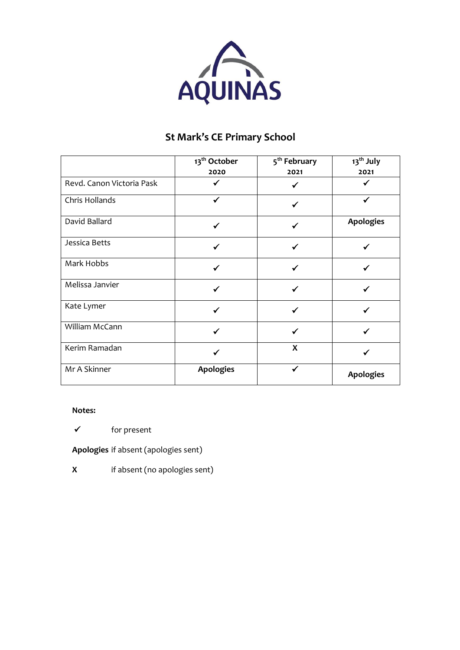

## **St Mark's CE Primary School**

|                           | 13 <sup>th</sup> October | 5 <sup>th</sup> February | 13 <sup>th</sup> July |
|---------------------------|--------------------------|--------------------------|-----------------------|
|                           | 2020                     | 2021                     | 2021                  |
| Revd. Canon Victoria Pask |                          |                          |                       |
| Chris Hollands            |                          |                          |                       |
| David Ballard             |                          |                          | <b>Apologies</b>      |
| Jessica Betts             |                          |                          |                       |
| Mark Hobbs                |                          |                          |                       |
| Melissa Janvier           |                          |                          |                       |
| Kate Lymer                |                          |                          |                       |
| William McCann            | ✓                        | ✓                        |                       |
| Kerim Ramadan             |                          | X                        |                       |
| Mr A Skinner              | <b>Apologies</b>         | ✓                        | <b>Apologies</b>      |

**Notes:** 

✓ for present

**Apologies** if absent (apologies sent)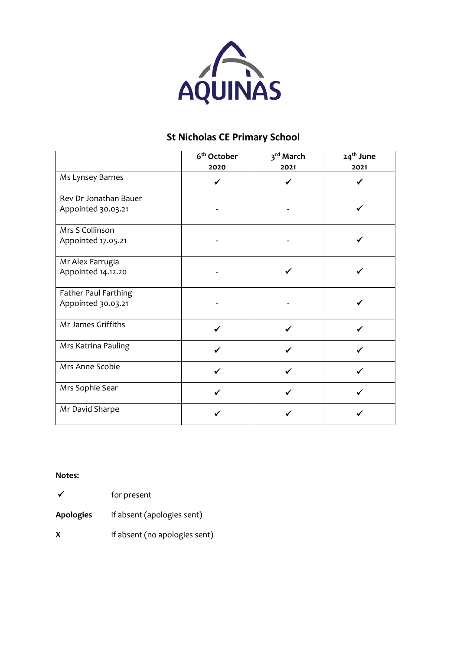

### **St Nicholas CE Primary School**

|                       | 6 <sup>th</sup> October<br>2020 | 3 <sup>rd</sup> March<br>2021 | 24 <sup>th</sup> June<br>2021 |
|-----------------------|---------------------------------|-------------------------------|-------------------------------|
| Ms Lynsey Barnes      |                                 |                               |                               |
| Rev Dr Jonathan Bauer |                                 |                               |                               |
| Appointed 30.03.21    |                                 |                               |                               |
| Mrs S Collinson       |                                 |                               |                               |
| Appointed 17.05.21    |                                 |                               |                               |
| Mr Alex Farrugia      |                                 |                               |                               |
| Appointed 14.12.20    |                                 |                               |                               |
| Father Paul Farthing  |                                 |                               |                               |
| Appointed 30.03.21    |                                 |                               |                               |
| Mr James Griffiths    |                                 |                               |                               |
| Mrs Katrina Pauling   |                                 |                               |                               |
| Mrs Anne Scobie       |                                 |                               |                               |
| Mrs Sophie Sear       |                                 |                               |                               |
| Mr David Sharpe       |                                 |                               |                               |

**Notes:** 

✓ for present

**Apologies** if absent (apologies sent)